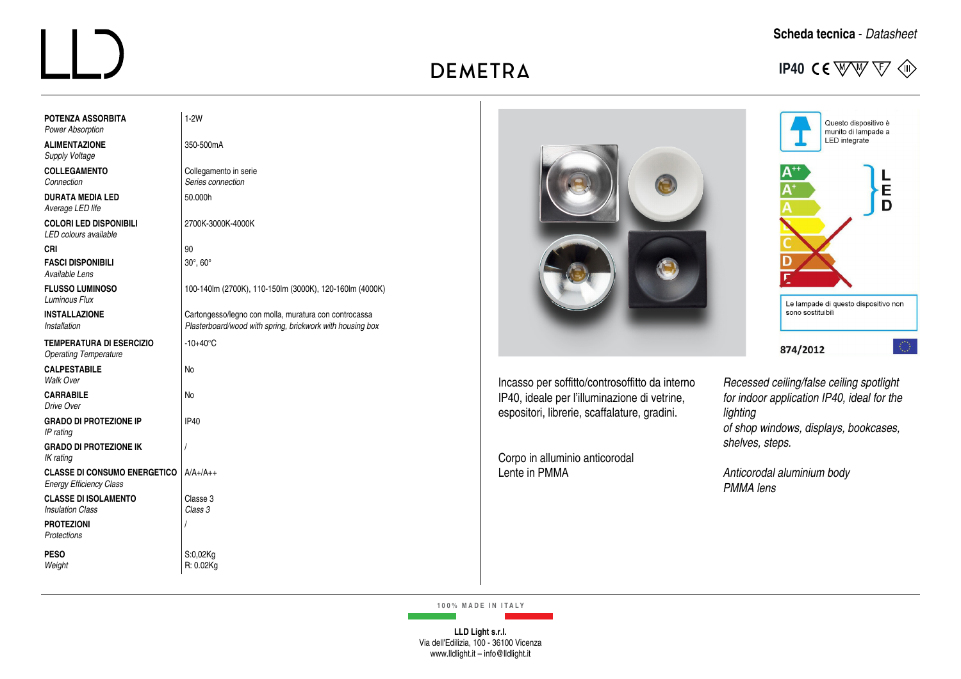

Questo dispositivo è<br>munito di lampade a<br>LED integrate

**DIMENSIONI** – *Dimensions*

| <b>POTENZA ASSORBITA</b><br><b>Power Absorption</b>                   | $1-2W$                                                                                                             |
|-----------------------------------------------------------------------|--------------------------------------------------------------------------------------------------------------------|
| <b>ALIMENTAZIONE</b><br>Supply Voltage                                | 350-500mA                                                                                                          |
| <b>COLLEGAMENTO</b><br>Connection                                     | Collegamento in serie<br>Series connection                                                                         |
| <b>DURATA MEDIA LED</b><br>Average LED life                           | 50.000h                                                                                                            |
| <b>COLORI LED DISPONIBILI</b><br>LED colours available                | 2700K-3000K-4000K                                                                                                  |
| CRI                                                                   | 90                                                                                                                 |
| <b>FASCI DISPONIBILI</b><br>Available Lens                            | 30°, 60°                                                                                                           |
| <b>FLUSSO LUMINOSO</b><br><b>Luminous Flux</b>                        | 100-140lm (2700K), 110-150lm (3000K), 120-160lm (4000K)                                                            |
| <b>INSTALLAZIONE</b><br>Installation                                  | Cartongesso/legno con molla, muratura con controcassa<br>Plasterboard/wood with spring, brickwork with housing box |
| <b>TEMPERATURA DI ESERCIZIO</b><br><b>Operating Temperature</b>       | $-10+40^{\circ}$ C                                                                                                 |
| <b>CALPESTABILE</b><br>Walk Over                                      | No                                                                                                                 |
| <b>CARRABILE</b><br>Drive Over                                        | No                                                                                                                 |
| <b>GRADO DI PROTEZIONE IP</b><br>IP rating                            | <b>IP40</b>                                                                                                        |
| <b>GRADO DI PROTEZIONE IK</b><br>IK rating                            | $\sqrt{2}$                                                                                                         |
| <b>CLASSE DI CONSUMO ENERGETICO</b><br><b>Energy Efficiency Class</b> | $A/A+ /A++$                                                                                                        |
| <b>CLASSE DI ISOLAMENTO</b><br><b>Insulation Class</b>                | Classe 3<br>Class 3                                                                                                |
| <b>PROTEZIONI</b><br>Protections                                      | 1                                                                                                                  |
| <b>PESO</b><br>Weight                                                 | S:0,02Kg<br>R: 0.02Kg                                                                                              |



Incasso per soffitto/controsoffitto da interno IP40, ideale per l'illuminazione di vetrine, espositori, librerie, scaffalature, gradini.

Corpo in alluminio anticorodal Lente in PMMA

*Recessed ceiling/false ceiling spotlight for indoor application IP40, ideal for the lighting of shop windows, displays, bookcases, shelves, steps.*

*Anticorodal aluminium body PMMA lens* 

**100% MADE IN ITALY**

**LLD Light s.r.l.** Via dell'Edilizia, 100 - 36100 Vicenza www.lldlight.it – info@lldlight.it